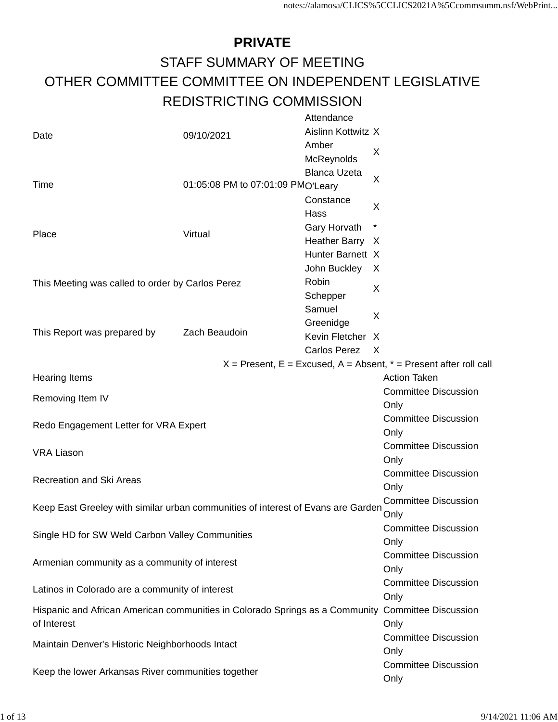#### **PRIVATE** STAFF SUMMARY OF MEETING OTHER COMMITTEE COMMITTEE ON INDEPENDENT LEGISLATIVE REDISTRICTING COMMISSION

|                                                                                  |                                   | Attendance                                                                                        |                                                                       |
|----------------------------------------------------------------------------------|-----------------------------------|---------------------------------------------------------------------------------------------------|-----------------------------------------------------------------------|
| Date                                                                             | 09/10/2021                        | Aislinn Kottwitz X                                                                                |                                                                       |
|                                                                                  |                                   | Amber                                                                                             | X                                                                     |
|                                                                                  |                                   | McReynolds                                                                                        |                                                                       |
|                                                                                  |                                   | <b>Blanca Uzeta</b>                                                                               | X                                                                     |
| Time                                                                             | 01:05:08 PM to 07:01:09 PMO'Leary |                                                                                                   |                                                                       |
|                                                                                  |                                   | Constance                                                                                         | X                                                                     |
|                                                                                  |                                   | Hass                                                                                              |                                                                       |
| Place                                                                            | Virtual                           | Gary Horvath                                                                                      |                                                                       |
|                                                                                  |                                   | Heather Barry X                                                                                   |                                                                       |
|                                                                                  |                                   | Hunter Barnett X                                                                                  |                                                                       |
|                                                                                  |                                   | John Buckley                                                                                      | $\mathsf{X}$                                                          |
| This Meeting was called to order by Carlos Perez                                 |                                   | Robin                                                                                             | X                                                                     |
|                                                                                  |                                   | Schepper                                                                                          |                                                                       |
|                                                                                  |                                   | Samuel                                                                                            | X                                                                     |
|                                                                                  |                                   | Greenidge                                                                                         |                                                                       |
| This Report was prepared by                                                      | Zach Beaudoin                     | Kevin Fletcher X                                                                                  |                                                                       |
|                                                                                  |                                   | Carlos Perez                                                                                      | $\times$                                                              |
|                                                                                  |                                   |                                                                                                   | $X =$ Present, E = Excused, A = Absent, $* =$ Present after roll call |
| <b>Hearing Items</b>                                                             |                                   |                                                                                                   | <b>Action Taken</b>                                                   |
| Removing Item IV                                                                 |                                   |                                                                                                   | <b>Committee Discussion</b>                                           |
|                                                                                  |                                   |                                                                                                   | Only                                                                  |
| Redo Engagement Letter for VRA Expert                                            |                                   |                                                                                                   | <b>Committee Discussion</b>                                           |
|                                                                                  |                                   |                                                                                                   | Only                                                                  |
| <b>VRA Liason</b>                                                                |                                   |                                                                                                   | <b>Committee Discussion</b>                                           |
|                                                                                  |                                   |                                                                                                   | Only                                                                  |
| <b>Recreation and Ski Areas</b>                                                  |                                   |                                                                                                   | <b>Committee Discussion</b>                                           |
|                                                                                  |                                   |                                                                                                   | Only                                                                  |
| Keep East Greeley with similar urban communities of interest of Evans are Garden |                                   |                                                                                                   | <b>Committee Discussion</b>                                           |
|                                                                                  | Only                              |                                                                                                   |                                                                       |
| Single HD for SW Weld Carbon Valley Communities                                  |                                   |                                                                                                   | <b>Committee Discussion</b>                                           |
|                                                                                  |                                   |                                                                                                   | Only                                                                  |
| Armenian community as a community of interest                                    |                                   |                                                                                                   | <b>Committee Discussion</b>                                           |
|                                                                                  |                                   |                                                                                                   | Only                                                                  |
| Latinos in Colorado are a community of interest                                  |                                   |                                                                                                   | <b>Committee Discussion</b>                                           |
|                                                                                  |                                   |                                                                                                   | Only                                                                  |
|                                                                                  |                                   | Hispanic and African American communities in Colorado Springs as a Community Committee Discussion |                                                                       |
| of Interest                                                                      |                                   | Only                                                                                              |                                                                       |
| Maintain Denver's Historic Neighborhoods Intact                                  |                                   |                                                                                                   | <b>Committee Discussion</b>                                           |
|                                                                                  |                                   | Only                                                                                              |                                                                       |
| Keep the lower Arkansas River communities together                               |                                   |                                                                                                   | <b>Committee Discussion</b>                                           |
|                                                                                  |                                   |                                                                                                   | Only                                                                  |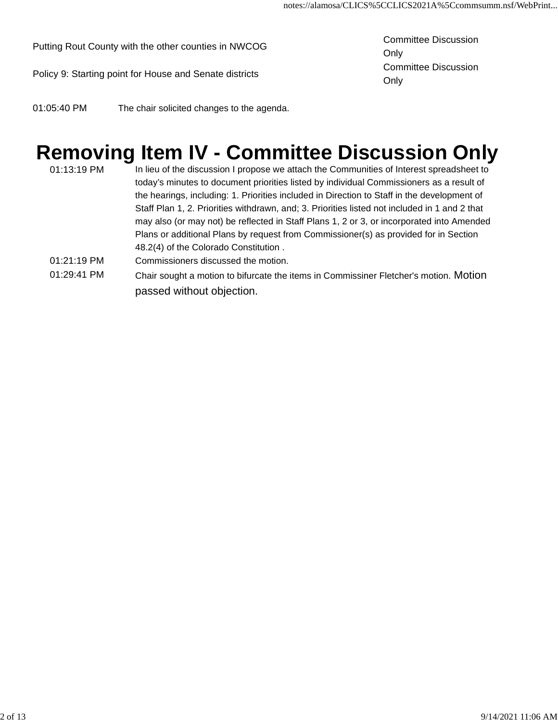Putting Rout County with the other counties in NWCOG Committee Discussion

Policy 9: Starting point for House and Senate districts Committee Discussion

Only Only

01:05:40 PM The chair solicited changes to the agenda.

passed without objection.

#### **Removing Item IV - Committee Discussion Only**

01:13:19 PM In lieu of the discussion I propose we attach the Communities of Interest spreadsheet to today's minutes to document priorities listed by individual Commissioners as a result of the hearings, including: 1. Priorities included in Direction to Staff in the development of Staff Plan 1, 2. Priorities withdrawn, and; 3. Priorities listed not included in 1 and 2 that may also (or may not) be reflected in Staff Plans 1, 2 or 3, or incorporated into Amended Plans or additional Plans by request from Commissioner(s) as provided for in Section 48.2(4) of the Colorado Constitution . 01:21:19 PM Commissioners discussed the motion. 01:29:41 PM Chair sought a motion to bifurcate the items in Commissiner Fletcher's motion. Motion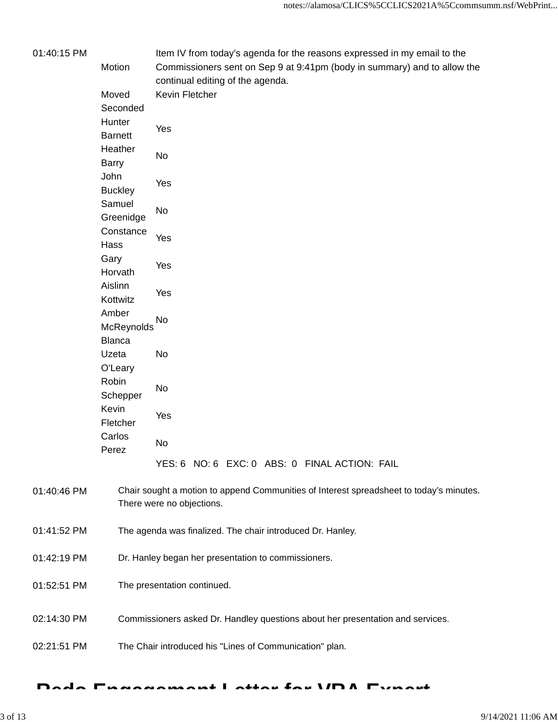| 01:40:15 PM |                | Item IV from today's agenda for the reasons expressed in my email to the                |
|-------------|----------------|-----------------------------------------------------------------------------------------|
|             | Motion         | Commissioners sent on Sep 9 at 9:41pm (body in summary) and to allow the                |
|             |                | continual editing of the agenda.                                                        |
|             | Moved          | Kevin Fletcher                                                                          |
|             | Seconded       |                                                                                         |
|             | Hunter         |                                                                                         |
|             | <b>Barnett</b> | Yes                                                                                     |
|             | Heather        |                                                                                         |
|             | <b>Barry</b>   | No                                                                                      |
|             | John           |                                                                                         |
|             |                | Yes                                                                                     |
|             | <b>Buckley</b> |                                                                                         |
|             | Samuel         | No                                                                                      |
|             | Greenidge      |                                                                                         |
|             | Constance      | Yes                                                                                     |
|             | Hass           |                                                                                         |
|             | Gary           | Yes                                                                                     |
|             | Horvath        |                                                                                         |
|             | Aislinn        |                                                                                         |
|             | Kottwitz       | Yes                                                                                     |
|             | Amber          |                                                                                         |
|             | McReynolds     | No                                                                                      |
|             | <b>Blanca</b>  |                                                                                         |
|             | Uzeta          | No                                                                                      |
|             | O'Leary        |                                                                                         |
|             | Robin          |                                                                                         |
|             |                | No                                                                                      |
|             | Schepper       |                                                                                         |
|             | Kevin          | Yes                                                                                     |
|             | Fletcher       |                                                                                         |
|             | Carlos         | No                                                                                      |
|             | Perez          |                                                                                         |
|             |                | YES: 6 NO: 6 EXC: 0 ABS: 0 FINAL ACTION: FAIL                                           |
|             |                |                                                                                         |
| 01:40:46 PM |                | Chair sought a motion to append Communities of Interest spreadsheet to today's minutes. |
|             |                | There were no objections.                                                               |
|             |                |                                                                                         |
| 01:41:52 PM |                | The agenda was finalized. The chair introduced Dr. Hanley.                              |
|             |                |                                                                                         |
| 01:42:19 PM |                | Dr. Hanley began her presentation to commissioners.                                     |
|             |                |                                                                                         |
| 01:52:51 PM |                | The presentation continued.                                                             |
|             |                |                                                                                         |
|             |                |                                                                                         |
| 02:14:30 PM |                | Commissioners asked Dr. Handley questions about her presentation and services.          |
|             |                |                                                                                         |
| 02:21:51 PM |                | The Chair introduced his "Lines of Communication" plan.                                 |
|             |                |                                                                                         |

#### **Redo Engagement Letter for VRA Expert -**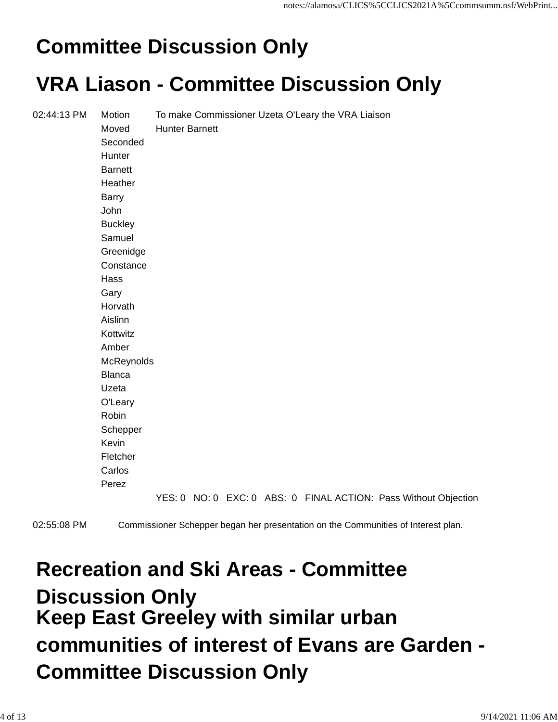## **Committee Discussion Only**

#### **VRA Liason - Committee Discussion Only**

| 02:44:13 PM | Motion         |                       |  | To make Commissioner Uzeta O'Leary the VRA Liaison |                                                                 |
|-------------|----------------|-----------------------|--|----------------------------------------------------|-----------------------------------------------------------------|
|             | Moved          | <b>Hunter Barnett</b> |  |                                                    |                                                                 |
|             | Seconded       |                       |  |                                                    |                                                                 |
|             | Hunter         |                       |  |                                                    |                                                                 |
|             | <b>Barnett</b> |                       |  |                                                    |                                                                 |
|             | Heather        |                       |  |                                                    |                                                                 |
|             | <b>Barry</b>   |                       |  |                                                    |                                                                 |
|             | John           |                       |  |                                                    |                                                                 |
|             | <b>Buckley</b> |                       |  |                                                    |                                                                 |
|             | Samuel         |                       |  |                                                    |                                                                 |
|             | Greenidge      |                       |  |                                                    |                                                                 |
|             | Constance      |                       |  |                                                    |                                                                 |
|             | Hass           |                       |  |                                                    |                                                                 |
|             | Gary           |                       |  |                                                    |                                                                 |
|             | Horvath        |                       |  |                                                    |                                                                 |
|             | Aislinn        |                       |  |                                                    |                                                                 |
|             | Kottwitz       |                       |  |                                                    |                                                                 |
|             | Amber          |                       |  |                                                    |                                                                 |
|             | McReynolds     |                       |  |                                                    |                                                                 |
|             | <b>Blanca</b>  |                       |  |                                                    |                                                                 |
|             | Uzeta          |                       |  |                                                    |                                                                 |
|             | O'Leary        |                       |  |                                                    |                                                                 |
|             | Robin          |                       |  |                                                    |                                                                 |
|             | Schepper       |                       |  |                                                    |                                                                 |
|             | Kevin          |                       |  |                                                    |                                                                 |
|             | Fletcher       |                       |  |                                                    |                                                                 |
|             | Carlos         |                       |  |                                                    |                                                                 |
|             | Perez          |                       |  |                                                    |                                                                 |
|             |                |                       |  |                                                    | YES: 0 NO: 0 EXC: 0 ABS: 0 FINAL ACTION: Pass Without Objection |

02:55:08 PM Commissioner Schepper began her presentation on the Communities of Interest plan.

#### **Recreation and Ski Areas - Committee Discussion Only Keep East Greeley with similar urban communities of interest of Evans are Garden - Committee Discussion Only**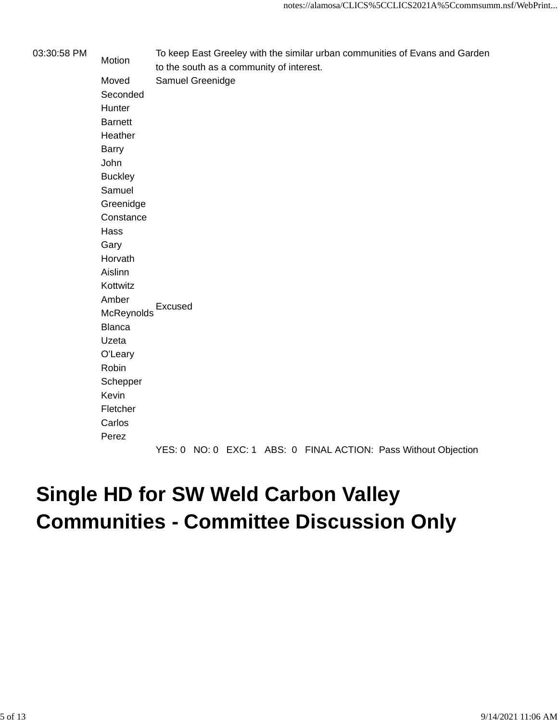03:30:58 PM Motion To keep East Greeley with the similar urban communities of Evans and Garden to the south as a community of interest. Moved Samuel Greenidge Seconded **Hunter Barnett** Heather Barry John **Buckley** Samuel Greenidge **Constance** Hass Gary Horvath Aislinn Kottwitz Amber **McReynolds** Excused Blanca Uzeta O'Leary Robin Schepper Kevin Fletcher **Carlos** Perez

YES: 0 NO: 0 EXC: 1 ABS: 0 FINAL ACTION: Pass Without Objection

#### **Single HD for SW Weld Carbon Valley Communities - Committee Discussion Only**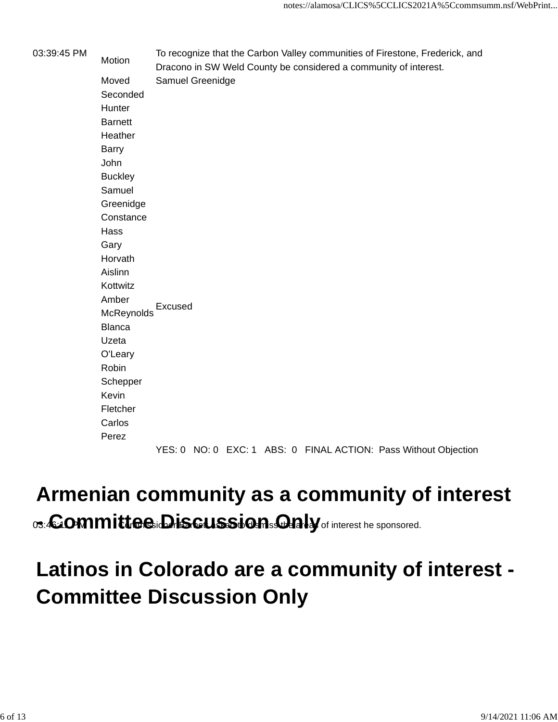03:39:45 PM To recognize that the Carbon Valley communities of Firestone, Frederick, and<br>Motion Dracono in SW Weld County be considered a community of interest. Moved Samuel Greenidge Seconded **Hunter** Barnett **Heather** Barry John **Buckley** Samuel Greenidge **Constance** Hass Gary Horvath Aislinn Kottwitz Amber **McReynolds** Excused Blanca Uzeta O'Leary Robin **Schepper** Kevin Fletcher Carlos Perez

YES: 0 NO: 0 EXC: 1 ABS: 0 FINAL ACTION: Pass Without Objection

#### **Armenian community as a community of interest** 03:46:00 **m mittee:Discussion:Daly** of interest he sponsored.

### **Latinos in Colorado are a community of interest - Committee Discussion Only**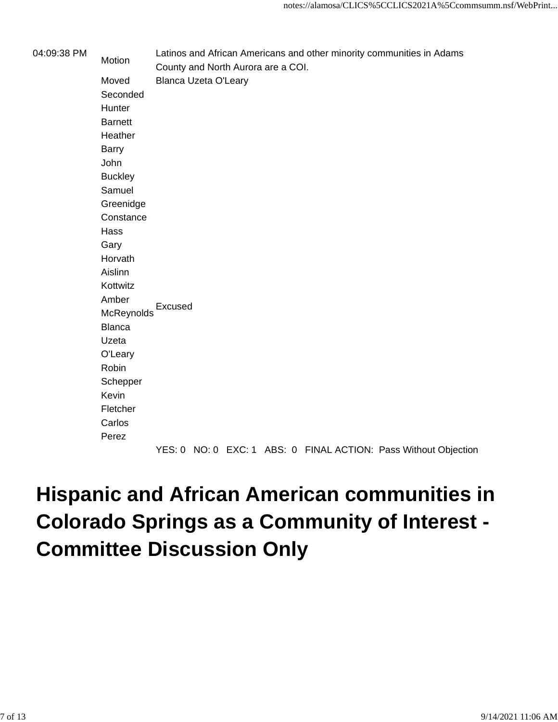| 04:09:38 PM | Motion         | Latinos and African Americans and other minority communities in Adams<br>County and North Aurora are a COI. |
|-------------|----------------|-------------------------------------------------------------------------------------------------------------|
|             | Moved          | <b>Blanca Uzeta O'Leary</b>                                                                                 |
|             | Seconded       |                                                                                                             |
|             | Hunter         |                                                                                                             |
|             | <b>Barnett</b> |                                                                                                             |
|             | Heather        |                                                                                                             |
|             | <b>Barry</b>   |                                                                                                             |
|             | John           |                                                                                                             |
|             | <b>Buckley</b> |                                                                                                             |
|             | Samuel         |                                                                                                             |
|             | Greenidge      |                                                                                                             |
|             | Constance      |                                                                                                             |
|             | Hass           |                                                                                                             |
|             | Gary           |                                                                                                             |
|             | Horvath        |                                                                                                             |
|             | Aislinn        |                                                                                                             |
|             | Kottwitz       |                                                                                                             |
|             | Amber          |                                                                                                             |
|             | McReynolds     | Excused                                                                                                     |
|             | <b>Blanca</b>  |                                                                                                             |
|             | Uzeta          |                                                                                                             |
|             | O'Leary        |                                                                                                             |
|             | Robin          |                                                                                                             |
|             | Schepper       |                                                                                                             |
|             | Kevin          |                                                                                                             |
|             | Fletcher       |                                                                                                             |
|             | Carlos         |                                                                                                             |
|             | Perez          |                                                                                                             |

YES: 0 NO: 0 EXC: 1 ABS: 0 FINAL ACTION: Pass Without Objection

### **Hispanic and African American communities in Colorado Springs as a Community of Interest - Committee Discussion Only**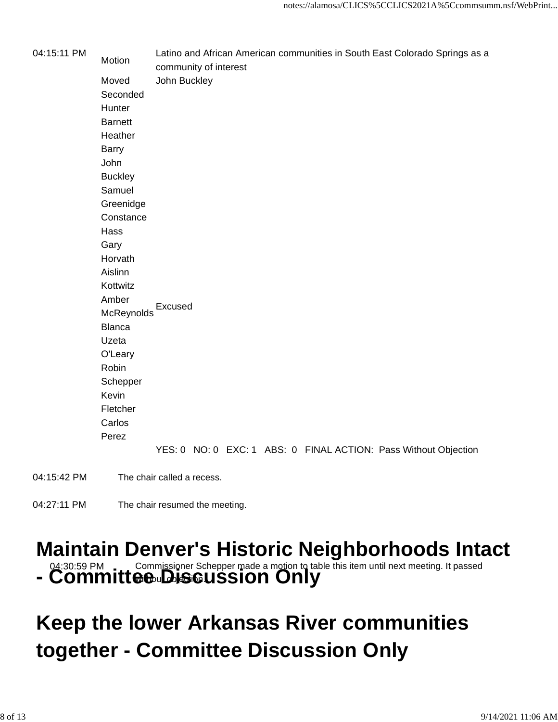| 04:15:11 PM                             | Motion         | Latino and African American communities in South East Colorado Springs as a<br>community of interest |
|-----------------------------------------|----------------|------------------------------------------------------------------------------------------------------|
|                                         | Moved          | John Buckley                                                                                         |
|                                         | Seconded       |                                                                                                      |
|                                         | Hunter         |                                                                                                      |
|                                         | <b>Barnett</b> |                                                                                                      |
|                                         | Heather        |                                                                                                      |
|                                         | <b>Barry</b>   |                                                                                                      |
|                                         | John           |                                                                                                      |
|                                         | <b>Buckley</b> |                                                                                                      |
|                                         | Samuel         |                                                                                                      |
|                                         | Greenidge      |                                                                                                      |
|                                         | Constance      |                                                                                                      |
|                                         | Hass           |                                                                                                      |
|                                         | Gary           |                                                                                                      |
|                                         | Horvath        |                                                                                                      |
|                                         | Aislinn        |                                                                                                      |
|                                         | Kottwitz       |                                                                                                      |
|                                         | Amber          | Excused                                                                                              |
|                                         | McReynolds     |                                                                                                      |
|                                         | <b>Blanca</b>  |                                                                                                      |
|                                         | Uzeta          |                                                                                                      |
| O'Leary                                 |                |                                                                                                      |
|                                         | Robin          |                                                                                                      |
| Schepper<br>Kevin<br>Fletcher<br>Carlos |                |                                                                                                      |
|                                         |                |                                                                                                      |
|                                         |                |                                                                                                      |
|                                         |                |                                                                                                      |
|                                         | Perez          |                                                                                                      |
|                                         |                | YES: 0 NO: 0 EXC: 1 ABS: 0 FINAL ACTION: Pass Without Objection                                      |
| $0.4.45.40$ DM                          |                | The studies in a self-state and state                                                                |

04:15:42 PM The chair called a recess.

04:27:11 PM The chair resumed the meeting.

# **Maintain Denver's Historic Neighborhoods Intact**

**04:30:59 PM Commissioner Schepper made a motion to table this item until next meeting. It passed<br>
<b>COMMItteewDESCUSSION ONLY** 

#### **Keep the lower Arkansas River communities together - Committee Discussion Only**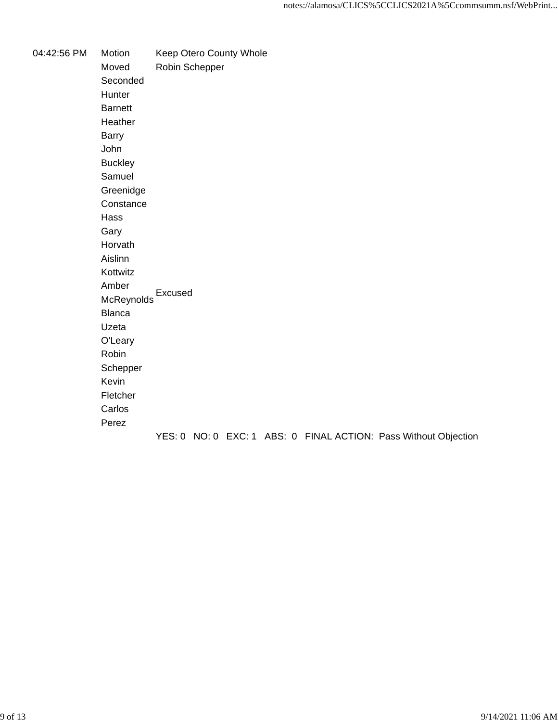04:42:56 PM Motion Keep Otero County Whole Moved Robin Schepper Seconded Hunter Barnett Heather Barry John **Buckley** Samuel Greenidge **Constance** Hass Gary Horvath Aislinn Kottwitz Amber , ....se.<br>McReynolds Blanca Uzeta O'Leary Robin Schepper Kevin Fletcher Carlos Perez YES: 0 NO: 0 EXC: 1 ABS: 0 FINAL ACTION: Pass Without Objection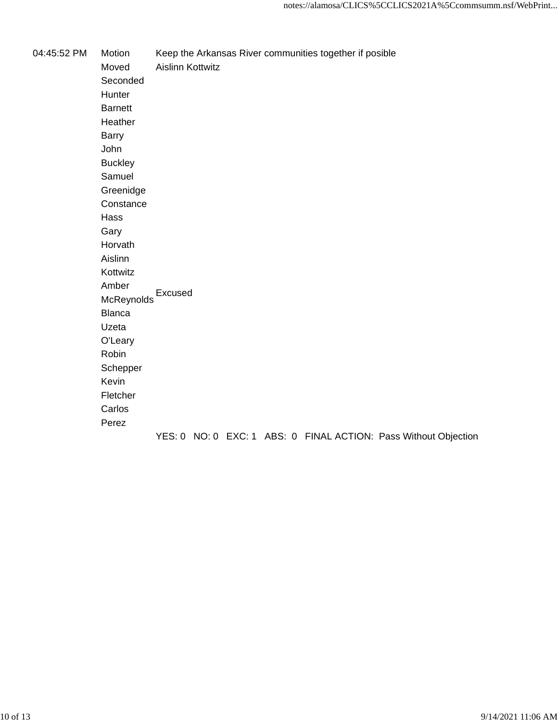04:45:52 PM Motion Keep the Arkansas River communities together if posible

Moved Aislinn Kottwitz Seconded Hunter Barnett Heather Barry John **Buckley** Samuel Greenidge **Constance** Hass Gary Horvath Aislinn Kottwitz Amber , ....se.<br>McReynolds Blanca Uzeta O'Leary Robin Schepper Kevin Fletcher Carlos Perez YES: 0 NO: 0 EXC: 1 ABS: 0 FINAL ACTION: Pass Without Objection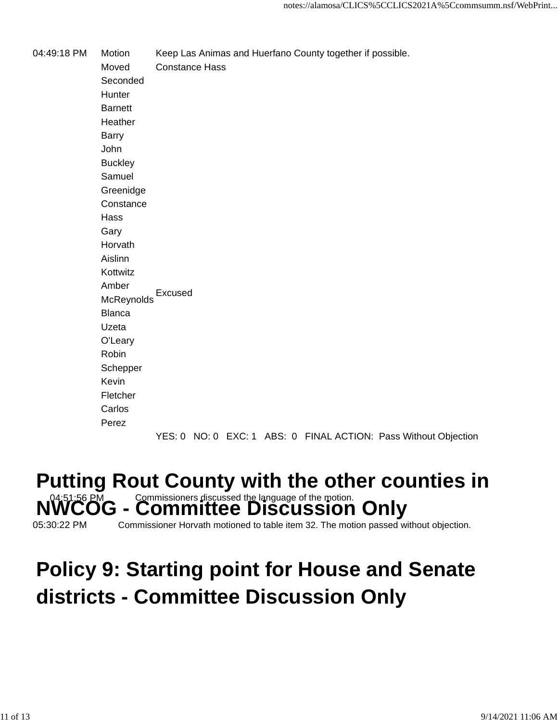04:49:18 PM Motion Keep Las Animas and Huerfano County together if possible.

Moved Constance Hass Seconded **Hunter** Barnett Heather Barry John **Buckley** Samuel Greenidge **Constance** Hass Gary Horvath Aislinn Kottwitz Amber **McReynolds** Excused Blanca Uzeta O'Leary Robin **Schepper** Kevin Fletcher Carlos Perez

YES: 0 NO: 0 EXC: 1 ABS: 0 FINAL ACTION: Pass Without Objection

#### **Putting Rout County with the other counties in** <u>- Committee Discussion Only</u>

05:30:22 PM Commissioner Horvath motioned to table item 32. The motion passed without objection.

#### **Policy 9: Starting point for House and Senate districts - Committee Discussion Only**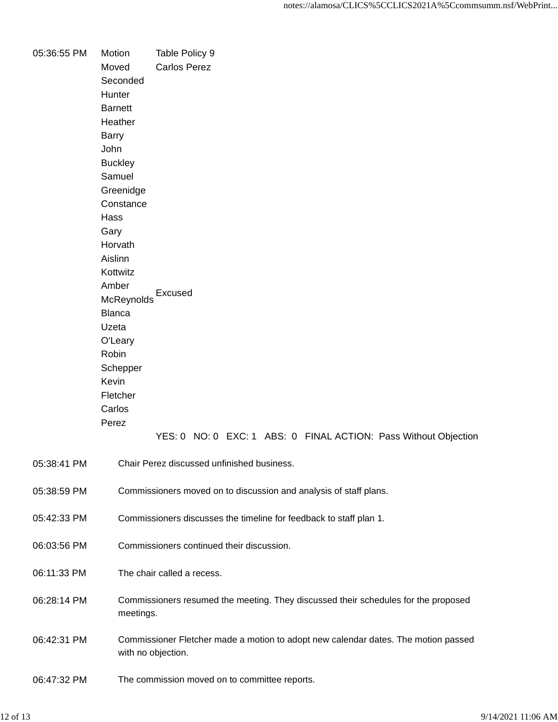| 05:36:55 PM | Motion         | Table Policy 9                                                                     |
|-------------|----------------|------------------------------------------------------------------------------------|
|             | Moved          | <b>Carlos Perez</b>                                                                |
|             | Seconded       |                                                                                    |
|             | Hunter         |                                                                                    |
|             | <b>Barnett</b> |                                                                                    |
|             | Heather        |                                                                                    |
|             | <b>Barry</b>   |                                                                                    |
|             | John           |                                                                                    |
|             | <b>Buckley</b> |                                                                                    |
|             | Samuel         |                                                                                    |
|             | Greenidge      |                                                                                    |
|             | Constance      |                                                                                    |
|             | Hass           |                                                                                    |
|             | Gary           |                                                                                    |
|             | Horvath        |                                                                                    |
|             | Aislinn        |                                                                                    |
|             | Kottwitz       |                                                                                    |
|             | Amber          |                                                                                    |
|             | McReynolds     | Excused                                                                            |
|             | <b>Blanca</b>  |                                                                                    |
|             | Uzeta          |                                                                                    |
|             | O'Leary        |                                                                                    |
|             | Robin          |                                                                                    |
|             | Schepper       |                                                                                    |
|             | Kevin          |                                                                                    |
|             | Fletcher       |                                                                                    |
|             | Carlos         |                                                                                    |
|             | Perez          |                                                                                    |
|             |                | YES: 0 NO: 0 EXC: 1 ABS: 0 FINAL ACTION: Pass Without Objection                    |
|             |                |                                                                                    |
| 05:38:41 PM |                | Chair Perez discussed unfinished business.                                         |
|             |                |                                                                                    |
| 05:38:59 PM |                | Commissioners moved on to discussion and analysis of staff plans.                  |
|             |                |                                                                                    |
| 05:42:33 PM |                | Commissioners discusses the timeline for feedback to staff plan 1.                 |
|             |                |                                                                                    |
| 06:03:56 PM |                | Commissioners continued their discussion.                                          |
|             |                |                                                                                    |
| 06:11:33 PM |                | The chair called a recess.                                                         |
|             |                |                                                                                    |
| 06:28:14 PM |                | Commissioners resumed the meeting. They discussed their schedules for the proposed |
|             | meetings.      |                                                                                    |
|             |                |                                                                                    |
| 06:42:31 PM |                | Commissioner Fletcher made a motion to adopt new calendar dates. The motion passed |
|             |                | with no objection.                                                                 |
|             |                |                                                                                    |
| 06:47:32 PM |                | The commission moved on to committee reports.                                      |